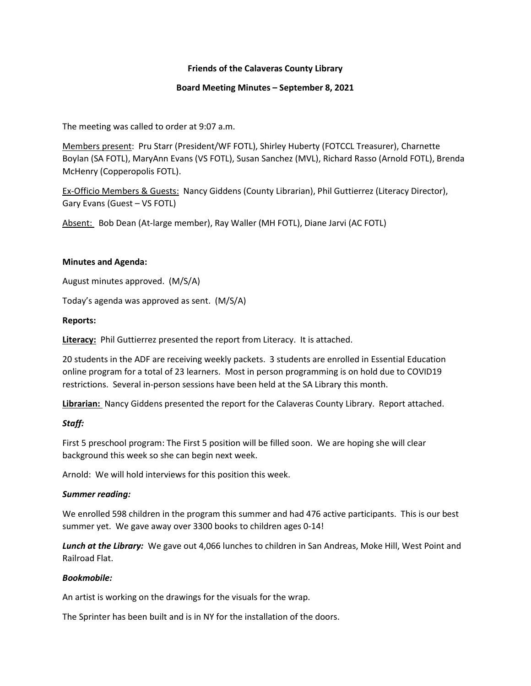# Friends of the Calaveras County Library

## Board Meeting Minutes – September 8, 2021

The meeting was called to order at 9:07 a.m.

Members present: Pru Starr (President/WF FOTL), Shirley Huberty (FOTCCL Treasurer), Charnette Boylan (SA FOTL), MaryAnn Evans (VS FOTL), Susan Sanchez (MVL), Richard Rasso (Arnold FOTL), Brenda McHenry (Copperopolis FOTL).

Ex-Officio Members & Guests: Nancy Giddens (County Librarian), Phil Guttierrez (Literacy Director), Gary Evans (Guest – VS FOTL)

Absent: Bob Dean (At-large member), Ray Waller (MH FOTL), Diane Jarvi (AC FOTL)

## Minutes and Agenda:

August minutes approved. (M/S/A)

Today's agenda was approved as sent. (M/S/A)

## Reports:

Literacy: Phil Guttierrez presented the report from Literacy. It is attached.

20 students in the ADF are receiving weekly packets. 3 students are enrolled in Essential Education online program for a total of 23 learners. Most in person programming is on hold due to COVID19 restrictions. Several in-person sessions have been held at the SA Library this month.

Librarian: Nancy Giddens presented the report for the Calaveras County Library. Report attached.

## Staff:

First 5 preschool program: The First 5 position will be filled soon. We are hoping she will clear background this week so she can begin next week.

Arnold: We will hold interviews for this position this week.

## Summer reading:

We enrolled 598 children in the program this summer and had 476 active participants. This is our best summer yet. We gave away over 3300 books to children ages 0-14!

Lunch at the Library: We gave out 4,066 lunches to children in San Andreas, Moke Hill, West Point and Railroad Flat.

## Bookmobile:

An artist is working on the drawings for the visuals for the wrap.

The Sprinter has been built and is in NY for the installation of the doors.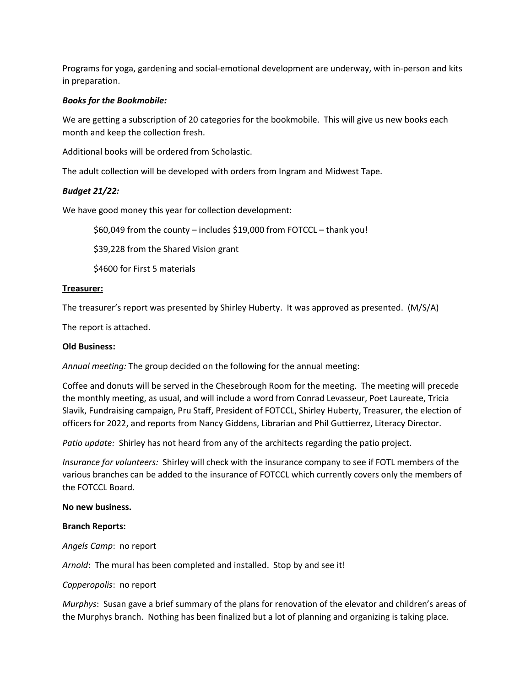Programs for yoga, gardening and social-emotional development are underway, with in-person and kits in preparation.

## Books for the Bookmobile:

We are getting a subscription of 20 categories for the bookmobile. This will give us new books each month and keep the collection fresh.

Additional books will be ordered from Scholastic.

The adult collection will be developed with orders from Ingram and Midwest Tape.

# Budget 21/22:

We have good money this year for collection development:

\$60,049 from the county – includes \$19,000 from FOTCCL – thank you!

\$39,228 from the Shared Vision grant

\$4600 for First 5 materials

## Treasurer:

The treasurer's report was presented by Shirley Huberty. It was approved as presented. (M/S/A)

The report is attached.

## Old Business:

Annual meeting: The group decided on the following for the annual meeting:

Coffee and donuts will be served in the Chesebrough Room for the meeting. The meeting will precede the monthly meeting, as usual, and will include a word from Conrad Levasseur, Poet Laureate, Tricia Slavik, Fundraising campaign, Pru Staff, President of FOTCCL, Shirley Huberty, Treasurer, the election of officers for 2022, and reports from Nancy Giddens, Librarian and Phil Guttierrez, Literacy Director.

Patio update: Shirley has not heard from any of the architects regarding the patio project.

Insurance for volunteers: Shirley will check with the insurance company to see if FOTL members of the various branches can be added to the insurance of FOTCCL which currently covers only the members of the FOTCCL Board.

## No new business.

## Branch Reports:

Angels Camp: no report

Arnold: The mural has been completed and installed. Stop by and see it!

## Copperopolis: no report

Murphys: Susan gave a brief summary of the plans for renovation of the elevator and children's areas of the Murphys branch. Nothing has been finalized but a lot of planning and organizing is taking place.